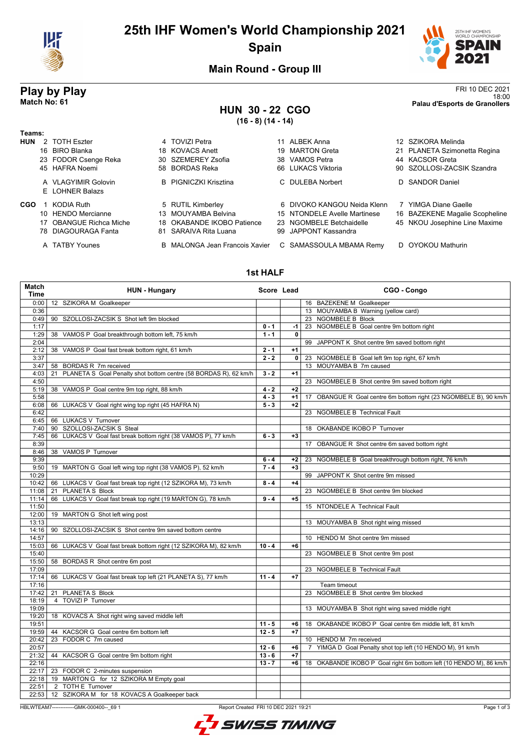

## **25th IHF Women's World Championship 2021 Spain**



**Main Round - Group III**

### **HUN 30 - 22 CGO (16 - 8) (14 - 14)**

**Play by Play**<br>Match No: 61<br>Palau d'Esports de Granollers 18:00 **Match No: 61 Palau d'Esports de Granollers**

| Teams:     |                                        |     |                                |     |                              |                                |
|------------|----------------------------------------|-----|--------------------------------|-----|------------------------------|--------------------------------|
| <b>HUN</b> | 2 TOTH Eszter                          |     | 4 TOVIZI Petra                 |     | 11 ALBEK Anna                | 12 SZIKORA Melinda             |
|            | 16 BIRO Blanka                         |     | 18 KOVACS Anett                | 19  | MARTON Greta                 | 21 PLANETA Szimonetta Regina   |
|            | 23 FODOR Csenge Reka                   | 30. | SZEMEREY Zsofia                | 38. | VAMOS Petra                  | 44 KACSOR Greta                |
|            | 45 HAFRA Noemi                         |     | 58 BORDAS Reka                 |     | 66 LUKACS Viktoria           | 90 SZOLLOSI-ZACSIK Szandra     |
|            | A VLAGYIMIR Golovin<br>E LOHNER Balazs |     | <b>B</b> PIGNICZKI Krisztina   |     | C DULEBA Norbert             | D SANDOR Daniel                |
| CGO        | KODIA Ruth                             |     | 5 RUTIL Kimberley              |     | 6 DIVOKO KANGOU Neida Klenn  | 7 YIMGA Diane Gaelle           |
|            | 10 HENDO Mercianne                     |     | 13 MOUYAMBA Belvina            |     | 15 NTONDELE Avelle Martinese | 16 BAZEKENE Magalie Scopheline |
|            | <b>OBANGUE Richca Miche</b>            |     | 18 OKABANDE IKOBO Patience     |     | 23 NGOMBELE Betchaidelle     | 45 NKOU Josephine Line Maxime  |
|            | 78 DIAGOURAGA Fanta                    |     | 81 SARAIVA Rita Luana          | 99. | JAPPONT Kassandra            |                                |
|            | A TATBY Younes                         |     | B MALONGA Jean Francois Xavier |     | C SAMASSOULA MBAMA Remy      | D OYOKOU Mathurin              |

#### **1st HALF**

| Match<br><b>Time</b> | <b>HUN - Hungary</b>                                                | Score Lead |              | CGO - Congo                                                                |
|----------------------|---------------------------------------------------------------------|------------|--------------|----------------------------------------------------------------------------|
| 0:00                 | 12 SZIKORA M Goalkeeper                                             |            |              | 16 BAZEKENE M Goalkeeper                                                   |
| 0:36                 |                                                                     |            |              | 13 MOUYAMBA B Warning (yellow card)                                        |
| 0:49                 | 90 SZOLLOSI-ZACSIK S Shot left 9m blocked                           |            |              | 23 NGOMBELE B Block                                                        |
| 1:17                 |                                                                     | $0 - 1$    | -1 l         | 23 NGOMBELE B Goal centre 9m bottom right                                  |
| 1:29                 | 38 VAMOS P Goal breakthrough bottom left, 75 km/h                   | $1 - 1$    | $\mathbf{0}$ |                                                                            |
| 2:04                 |                                                                     |            |              | 99 JAPPONT K Shot centre 9m saved bottom right                             |
| 2:12                 | 38 VAMOS P Goal fast break bottom right, 61 km/h                    | $2 - 1$    | $+1$         |                                                                            |
| 3:37                 |                                                                     | $2 - 2$    | $\mathbf{0}$ | 23 NGOMBELE B Goal left 9m top right, 67 km/h                              |
| 3:47                 | 58 BORDAS R 7m received                                             |            |              | 13 MOUYAMBA B 7m caused                                                    |
| 4:03                 | 21 PLANETA S Goal Penalty shot bottom centre (58 BORDAS R), 62 km/h | $3 - 2$    | $+1$         |                                                                            |
| 4:50                 |                                                                     |            |              | 23 NGOMBELE B Shot centre 9m saved bottom right                            |
| 5:19                 | 38 VAMOS P Goal centre 9m top right, 88 km/h                        | $4 - 2$    | $+2$         |                                                                            |
| 5:58                 |                                                                     | $4 - 3$    | $+1$         | 17 OBANGUE R Goal centre 6m bottom right (23 NGOMBELE B), 90 km/h          |
| 6:08                 | 66 LUKACS V Goal right wing top right (45 HAFRA N)                  | $5 - 3$    | $+2$         |                                                                            |
| 6:42                 |                                                                     |            |              | 23 NGOMBELE B Technical Fault                                              |
| 6:45                 | 66 LUKACS V Turnover                                                |            |              |                                                                            |
| 7:40                 | 90 SZOLLOSI-ZACSIK S Steal                                          |            |              | 18 OKABANDE IKOBO P Turnover                                               |
| 7:45                 | 66 LUKACS V Goal fast break bottom right (38 VAMOS P), 77 km/h      | $6 - 3$    | $+3$         |                                                                            |
| 8:39                 |                                                                     |            |              | 17 OBANGUE R Shot centre 6m saved bottom right                             |
| 8:46                 | 38 VAMOS P Turnover                                                 |            |              |                                                                            |
| 9:39                 |                                                                     | $6 - 4$    | $+2$         | 23 NGOMBELE B Goal breakthrough bottom right, 76 km/h                      |
| 9:50                 | 19 MARTON G Goal left wing top right (38 VAMOS P), 52 km/h          | $7 - 4$    | $+3$         |                                                                            |
| 10:29                |                                                                     |            |              | 99 JAPPONT K Shot centre 9m missed                                         |
| 10:42                | 66 LUKACS V Goal fast break top right (12 SZIKORA M), 73 km/h       | $8 - 4$    | $+4$         |                                                                            |
| 11:08                | 21 PLANETA S Block                                                  |            |              | 23 NGOMBELE B Shot centre 9m blocked                                       |
| 11:14                | 66 LUKACS V Goal fast break top right (19 MARTON G), 78 km/h        | $9 - 4$    | $+5$         |                                                                            |
| 11:50                |                                                                     |            |              | 15 NTONDELE A Technical Fault                                              |
| 12:00                | 19 MARTON G Shot left wing post                                     |            |              |                                                                            |
| 13:13                |                                                                     |            |              | 13 MOUYAMBA B Shot right wing missed                                       |
| 14:16                | 90 SZOLLOSI-ZACSIK S Shot centre 9m saved bottom centre             |            |              |                                                                            |
| 14:57                |                                                                     |            |              | 10 HENDO M Shot centre 9m missed                                           |
| 15:03                | 66 LUKACS V Goal fast break bottom right (12 SZIKORA M), 82 km/h    | $10 - 4$   | $+6$         |                                                                            |
| 15:40                |                                                                     |            |              | 23 NGOMBELE B Shot centre 9m post                                          |
| 15:50                | 58 BORDAS R Shot centre 6m post                                     |            |              |                                                                            |
| 17:09                |                                                                     |            |              | 23 NGOMBELE B Technical Fault                                              |
| 17:14                | 66 LUKACS V Goal fast break top left (21 PLANETA S), 77 km/h        | $11 - 4$   | $+7$         |                                                                            |
| 17:16                |                                                                     |            |              | Team timeout                                                               |
| 17:42                | 21 PLANETA S Block                                                  |            |              | 23 NGOMBELE B Shot centre 9m blocked                                       |
| 18:19                | 4 TOVIZI P Turnover                                                 |            |              |                                                                            |
| 19:09                |                                                                     |            |              | 13 MOUYAMBA B Shot right wing saved middle right                           |
| 19:20                | 18 KOVACS A Shot right wing saved middle left                       |            |              |                                                                            |
| 19:51                |                                                                     | $11 - 5$   | +6           | 18 OKABANDE IKOBO P Goal centre 6m middle left, 81 km/h                    |
| 19:59                | 44 KACSOR G Goal centre 6m bottom left                              | $12 - 5$   | $+7$         |                                                                            |
| 20:42                | 23 FODOR C 7m caused                                                |            |              | 10 HENDO M 7m received                                                     |
| 20:57                |                                                                     | $12 - 6$   | $+6$         | YIMGA D Goal Penalty shot top left (10 HENDO M), 91 km/h<br>$\overline{7}$ |
| 21:32                | 44 KACSOR G Goal centre 9m bottom right                             | $13 - 6$   | $+7$         |                                                                            |
| 22:16                |                                                                     | $13 - 7$   | $+6$         | 18 OKABANDE IKOBO P Goal right 6m bottom left (10 HENDO M), 86 km/h        |
| 22:17                | 23 FODOR C 2-minutes suspension                                     |            |              |                                                                            |
| 22:18                | 19 MARTON G for 12 SZIKORA M Empty goal                             |            |              |                                                                            |
| 22:51                | 2 TOTH E Turnover                                                   |            |              |                                                                            |
| 22:53                | 12 SZIKORA M for 18 KOVACS A Goalkeeper back                        |            |              |                                                                            |

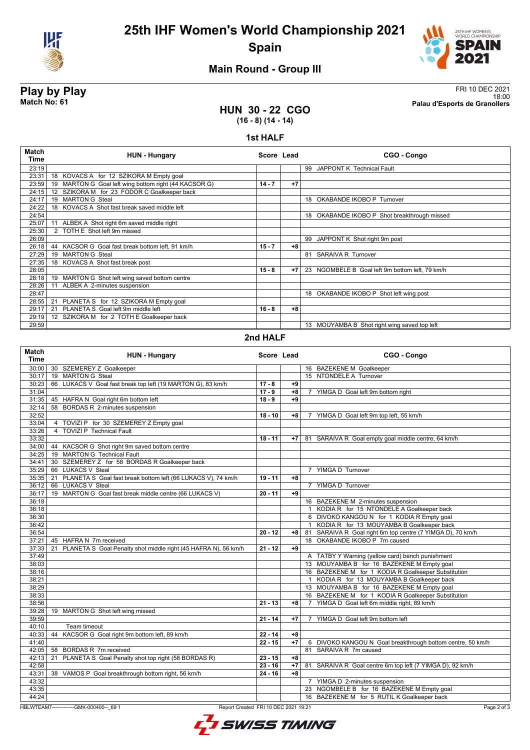



### **Main Round - Group III**

**Play by Play**<br>Match No: 61<br>Palau d'Esports de Granollers 18:00 **Match No: 61 Palau d'Esports de Granollers**

#### **HUN 30 - 22 CGO (16 - 8) (14 - 14)**

#### **1st HALF**

| <b>Match</b><br><b>Time</b> | <b>HUN - Hungary</b>                                  | Score Lead |      | CGO - Congo                                     |
|-----------------------------|-------------------------------------------------------|------------|------|-------------------------------------------------|
| 23:19                       |                                                       |            |      | 99 JAPPONT K Technical Fault                    |
| 23:31                       | 18 KOVACS A for 12 SZIKORA M Empty goal               |            |      |                                                 |
| 23:59                       | 19 MARTON G Goal left wing bottom right (44 KACSOR G) | $14 - 7$   | $+7$ |                                                 |
| 24:15                       | SZIKORA M for 23 FODOR C Goalkeeper back<br>12        |            |      |                                                 |
| 24:17                       | 19 MARTON G Steal                                     |            |      | 18 OKABANDE IKOBO P Turnover                    |
| 24:22                       | 18 KOVACS A Shot fast break saved middle left         |            |      |                                                 |
| 24:54                       |                                                       |            |      | OKABANDE IKOBO P Shot breakthrough missed<br>18 |
| 25:07                       | ALBEK A Shot right 6m saved middle right<br>11        |            |      |                                                 |
| 25:30                       | 2 TOTH E Shot left 9m missed                          |            |      |                                                 |
| 26:09                       |                                                       |            |      | 99 JAPPONT K Shot right 9m post                 |
| 26:18                       | 44 KACSOR G Goal fast break bottom left, 91 km/h      | $15 - 7$   | $+8$ |                                                 |
| 27:29                       | <b>MARTON G Steal</b><br>19                           |            |      | 81 SARAIVA R Turnover                           |
| 27:35                       | 18 KOVACS A Shot fast break post                      |            |      |                                                 |
| 28:05                       |                                                       | $15 - 8$   | $+7$ | 23 NGOMBELE B Goal left 9m bottom left. 79 km/h |
| 28:18                       | MARTON G Shot left wing saved bottom centre<br>19     |            |      |                                                 |
| 28:26                       | ALBEK A 2-minutes suspension<br>11                    |            |      |                                                 |
| 28:47                       |                                                       |            |      | 18 OKABANDE IKOBO P Shot left wing post         |
| 28:55                       | PLANETA S for 12 SZIKORA M Empty goal<br>21           |            |      |                                                 |
| 29:17                       | PLANETA S Goal left 9m middle left<br>21              | $16 - 8$   | +8   |                                                 |
| 29:19                       | 12 SZIKORA M for 2 TOTH E Goalkeeper back             |            |      |                                                 |
| 29:59                       |                                                       |            |      | 13 MOUYAMBA B Shot right wing saved top left    |

#### **2nd HALF**

| <b>Match</b><br><b>Time</b> | <b>HUN - Hungary</b>                                                             | Score Lead           |      |                | CGO - Congo                                                |
|-----------------------------|----------------------------------------------------------------------------------|----------------------|------|----------------|------------------------------------------------------------|
| 30:00                       | 30 SZEMEREY Z Goalkeeper                                                         |                      |      |                | 16 BAZEKENE M Goalkeeper                                   |
| 30:17                       | 19 MARTON G Steal                                                                |                      |      |                | 15 NTONDELE A Turnover                                     |
| 30:23                       | 66 LUKACS V Goal fast break top left (19 MARTON G), 83 km/h                      | $17 - 8$             | $+9$ |                |                                                            |
| 31:04                       |                                                                                  | $17 - 9$             | $+8$ |                | 7 YIMGA D Goal left 9m bottom right                        |
| 31:35                       | 45 HAFRA N Goal right 6m bottom left                                             | $18 - 9$             | $+9$ |                |                                                            |
| 32:14                       | 58 BORDAS R 2-minutes suspension                                                 |                      |      |                |                                                            |
| 32:52                       |                                                                                  | $18 - 10$            | +8   | $\overline{7}$ | YIMGA D Goal left 9m top left, 55 km/h                     |
| 33:04                       | 4 TOVIZI P for 30 SZEMEREY Z Empty goal                                          |                      |      |                |                                                            |
| 33:26                       | 4 TOVIZI P Technical Fault                                                       |                      |      |                |                                                            |
| 33:32                       |                                                                                  | $18 - 11$            | $+7$ |                | 81 SARAIVA R Goal empty goal middle centre, 64 km/h        |
|                             | 34:00   44 KACSOR G Shot right 9m saved bottom centre                            |                      |      |                |                                                            |
|                             | 34:25   19 MARTON G Technical Fault                                              |                      |      |                |                                                            |
| 34:41                       | 30 SZEMEREY Z for 58 BORDAS R Goalkeeper back                                    |                      |      |                |                                                            |
| 35:29                       | 66 LUKACS V Steal                                                                |                      |      |                | 7 YIMGA D Turnover                                         |
| 35:35                       | PLANETA S Goal fast break bottom left (66 LUKACS V), 74 km/h<br>21               | $19 - 11$            | $+8$ |                |                                                            |
| 36:12                       | <b>LUKACS V Steal</b><br>66                                                      |                      |      |                | 7 YIMGA D Turnover                                         |
| 36:17                       | MARTON G Goal fast break middle centre (66 LUKACS V)<br>19                       | $20 - 11$            | +9   |                |                                                            |
| 36:18                       |                                                                                  |                      |      |                | 16 BAZEKENE M 2-minutes suspension                         |
| 36:18                       |                                                                                  |                      |      |                | 1 KODIA R for 15 NTONDELE A Goalkeeper back                |
| 36:30                       |                                                                                  |                      |      |                | 6 DIVOKO KANGOU N for 1 KODIA R Empty goal                 |
| 36:42                       |                                                                                  |                      |      | $\mathbf{1}$   | KODIA R for 13 MOUYAMBA B Goalkeeper back                  |
| 36:54                       |                                                                                  | $20 - 12$            | $+8$ |                | 81 SARAIVA R Goal right 6m top centre (7 YIMGA D), 70 km/h |
| 37:21                       | 45 HAFRA N 7m received                                                           |                      |      |                | 18 OKABANDE IKOBO P 7m caused                              |
| 37:33                       | PLANETA S Goal Penalty shot middle right (45 HAFRA N), 56 km/h<br>21             | $21 - 12$            | +9   |                |                                                            |
| 37:49                       |                                                                                  |                      |      |                | A TATBY Y Warning (yellow card) bench punishment           |
| 38:03                       |                                                                                  |                      |      |                | 13 MOUYAMBA B for 16 BAZEKENE M Empty goal                 |
| 38:16                       |                                                                                  |                      |      |                | 16 BAZEKENE M for 1 KODIA R Goalkeeper Substitution        |
| 38:21                       |                                                                                  |                      |      |                | 1 KODIA R for 13 MOUYAMBA B Goalkeeper back                |
| 38:29                       |                                                                                  |                      |      |                | 13 MOUYAMBA B for 16 BAZEKENE M Empty goal                 |
| 38:33                       |                                                                                  |                      |      |                | 16 BAZEKENE M for 1 KODIA R Goalkeeper Substitution        |
| 38:56                       |                                                                                  | $21 - 13$            | $+8$ |                | 7 YIMGA D Goal left 6m middle right, 89 km/h               |
| 39:28                       | 19 MARTON G Shot left wing missed                                                |                      |      |                |                                                            |
| 39:59                       |                                                                                  | $21 - 14$            | $+7$ |                | 7 YIMGA D Goal left 9m bottom left                         |
| 40:10                       | Team timeout                                                                     |                      |      |                |                                                            |
| 40:33                       | KACSOR G Goal right 9m bottom left, 89 km/h<br>44                                | $22 - 14$            | +8   |                |                                                            |
| 41:40                       |                                                                                  | $22 - 15$            | $+7$ |                | 6 DIVOKO KANGOU N Goal breakthrough bottom centre, 50 km/h |
| 42:05                       | 58 BORDAS R 7m received                                                          |                      |      |                | 81 SARAIVA R 7m caused                                     |
| 42:13                       | PLANETA S Goal Penalty shot top right (58 BORDAS R)<br>21                        | $23 - 15$            | $+8$ |                |                                                            |
| 42:58                       |                                                                                  | $23 - 16$            | $+7$ |                | 81 SARAIVA R Goal centre 6m top left (7 YIMGA D), 92 km/h  |
| 43:31                       | 38 VAMOS P Goal breakthrough bottom right, 56 km/h                               | $\overline{24} - 16$ | $+8$ |                |                                                            |
| 43:32                       |                                                                                  |                      |      |                | 7 YIMGA D 2-minutes suspension                             |
| 43:35                       |                                                                                  |                      |      |                | 23 NGOMBELE B for 16 BAZEKENE M Empty goal                 |
| 44:24                       |                                                                                  |                      |      |                | 16 BAZEKENE M for 5 RUTIL K Goalkeeper back                |
|                             | HBLWTEAM7--------------GMK-000400-- 69 1<br>Report Created FRI 10 DEC 2021 19:21 |                      |      |                | Page 2 of 3                                                |
|                             |                                                                                  |                      |      |                |                                                            |